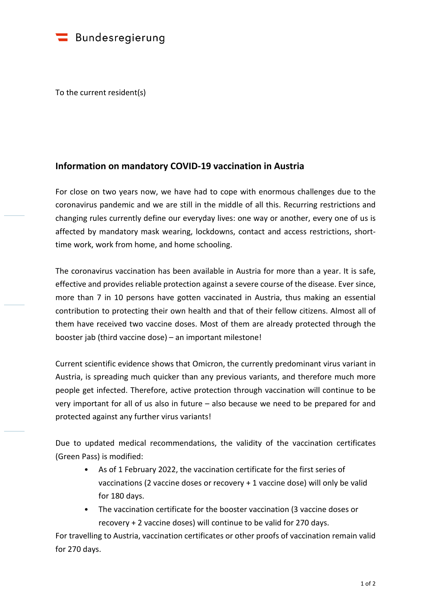

To the current resident(s)

## **Information on mandatory COVID-19 vaccination in Austria**

For close on two years now, we have had to cope with enormous challenges due to the coronavirus pandemic and we are still in the middle of all this. Recurring restrictions and changing rules currently define our everyday lives: one way or another, every one of us is affected by mandatory mask wearing, lockdowns, contact and access restrictions, shorttime work, work from home, and home schooling.

The coronavirus vaccination has been available in Austria for more than a year. It is safe, effective and provides reliable protection against a severe course of the disease. Ever since, more than 7 in 10 persons have gotten vaccinated in Austria, thus making an essential contribution to protecting their own health and that of their fellow citizens. Almost all of them have received two vaccine doses. Most of them are already protected through the booster jab (third vaccine dose) – an important milestone!

Current scientific evidence shows that Omicron, the currently predominant virus variant in Austria, is spreading much quicker than any previous variants, and therefore much more people get infected. Therefore, active protection through vaccination will continue to be very important for all of us also in future – also because we need to be prepared for and protected against any further virus variants!

Due to updated medical recommendations, the validity of the vaccination certificates (Green Pass) is modified:

- As of 1 February 2022, the vaccination certificate for the first series of vaccinations (2 vaccine doses or recovery + 1 vaccine dose) will only be valid for 180 days.
- The vaccination certificate for the booster vaccination (3 vaccine doses or recovery + 2 vaccine doses) will continue to be valid for 270 days.

For travelling to Austria, vaccination certificates or other proofs of vaccination remain valid for 270 days.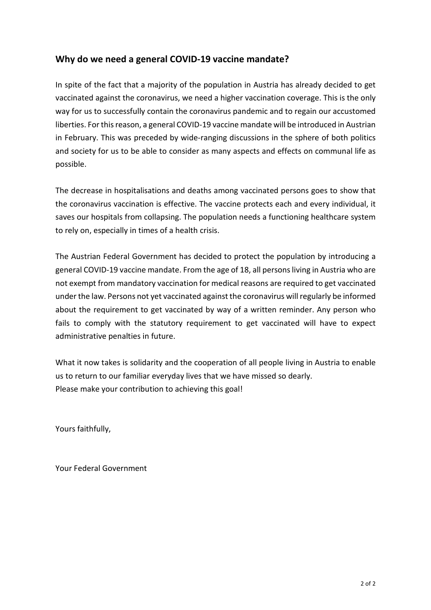## **Why do we need a general COVID-19 vaccine mandate?**

In spite of the fact that a majority of the population in Austria has already decided to get vaccinated against the coronavirus, we need a higher vaccination coverage. This is the only way for us to successfully contain the coronavirus pandemic and to regain our accustomed liberties. For this reason, a general COVID-19 vaccine mandate will be introduced in Austrian in February. This was preceded by wide-ranging discussions in the sphere of both politics and society for us to be able to consider as many aspects and effects on communal life as possible.

The decrease in hospitalisations and deaths among vaccinated persons goes to show that the coronavirus vaccination is effective. The vaccine protects each and every individual, it saves our hospitals from collapsing. The population needs a functioning healthcare system to rely on, especially in times of a health crisis.

The Austrian Federal Government has decided to protect the population by introducing a general COVID-19 vaccine mandate. From the age of 18, all persons living in Austria who are not exempt from mandatory vaccination for medical reasons are required to get vaccinated under the law. Persons not yet vaccinated against the coronavirus will regularly be informed about the requirement to get vaccinated by way of a written reminder. Any person who fails to comply with the statutory requirement to get vaccinated will have to expect administrative penalties in future.

What it now takes is solidarity and the cooperation of all people living in Austria to enable us to return to our familiar everyday lives that we have missed so dearly. Please make your contribution to achieving this goal!

Yours faithfully,

Your Federal Government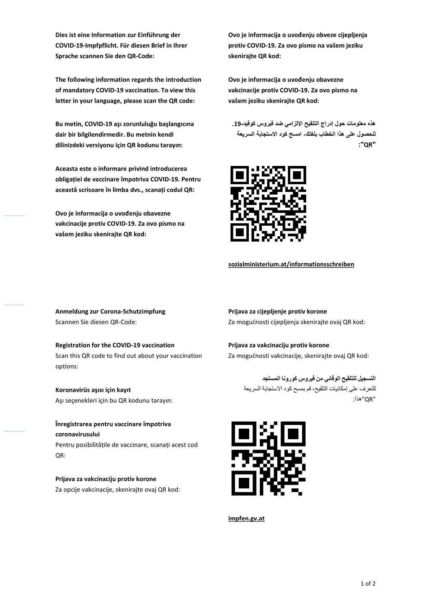**Dies ist eine Information zur Einführung der COVID-19-Impfpflicht. Für diesen Brief in Ihrer Sprache scannen Sie den QR-Code:** 

**The following information regards the introduction of mandatory COVID-19 vaccination. To view this letter in your language, please scan the QR code:** 

**Bu metin, COVID-19 aşı zorunluluğu başlangıcına dair bir bilgilendirmedir. Bu metnin kendi dilinizdeki versiyonu için QR kodunu tarayın:** 

**Aceasta este o informare privind introducerea obligației de vaccinare împotriva COVID-19. Pentru această scrisoare în limba dvs., scanați codul QR:** 

**Ovo je informacija o uvođenju obavezne vakcinacije protiv COVID-19. Za ovo pismo na vašem jeziku skenirajte QR kod:** 

**Ovo je informacija o uvođenju obveze cijepljenja protiv COVID-19. Za ovo pismo na vašem jeziku skenirajte QR kod:** 

**Ovo je informacija o uvođenju obavezne vakcinacije protiv COVID-19. Za ovo pismo na vašem jeziku skenirajte QR kod:** 

**ھذه معلومات حول إدراج التلقیح الزامي ضد فیروس كوفید.19- امسح كود استجابة السریعة للحصول على ھذا الخطاب بلغتك، :"QR"**



**[sozialministerium.at/informationsschreiben](http://www.sozialministerium.at/informationsschreiben)** 

**Anmeldung zur Corona-Schutzimpfung**  Scannen Sie diesen QR-Code:

**Registration for the COVID-19 vaccination**  Scan this QR code to find out about your vaccination options:

**Koronavirüs aşısı için kayıt**  Aşı seçenekleri için bu QR kodunu tarayın:

**Înregistrarea pentru vaccinare împotriva coronavirusului**  Pentru posibilitățile de vaccinare, scanați acest cod QR:

**Prijava za vakcinaciju protiv korone**  Za opcije vakcinacije, skenirajte ovaj QR kod: **Prijava za cijepljenje protiv korone**  Za mogućnosti cijepljenja skenirajte ovaj QR kod:

**Prijava za vakcinaciju protiv korone**  Za mogućnosti vakcinacije, skenirajte ovaj QR kod:

**التسجیل للتلقیح الوقائي من فیروس كورونا المستجد**  للتعرف على إمكانیات التلقیح، قم بمسح كود استجابة السریعة "QR"ھذا :



**[impfen.gv.at](http://impfen.gv.at/)**